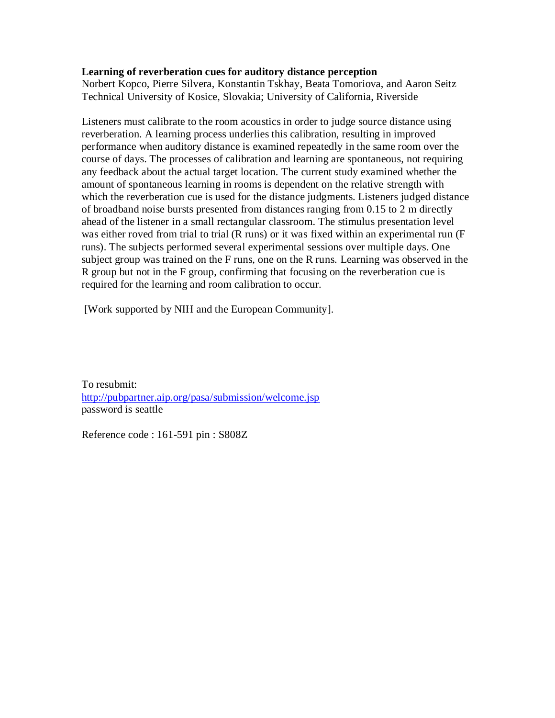## **Learning of reverberation cues for auditory distance perception**

Norbert Kopco, Pierre Silvera, Konstantin Tskhay, Beata Tomoriova, and Aaron Seitz Technical University of Kosice, Slovakia; University of California, Riverside

Listeners must calibrate to the room acoustics in order to judge source distance using reverberation. A learning process underlies this calibration, resulting in improved performance when auditory distance is examined repeatedly in the same room over the course of days. The processes of calibration and learning are spontaneous, not requiring any feedback about the actual target location. The current study examined whether the amount of spontaneous learning in rooms is dependent on the relative strength with which the reverberation cue is used for the distance judgments. Listeners judged distance of broadband noise bursts presented from distances ranging from 0.15 to 2 m directly ahead of the listener in a small rectangular classroom. The stimulus presentation level was either roved from trial to trial (R runs) or it was fixed within an experimental run (F runs). The subjects performed several experimental sessions over multiple days. One subject group was trained on the F runs, one on the R runs. Learning was observed in the R group but not in the F group, confirming that focusing on the reverberation cue is required for the learning and room calibration to occur.

[Work supported by NIH and the European Community].

To resubmit: <http://pubpartner.aip.org/pasa/submission/welcome.jsp> password is seattle

Reference code : 161-591 pin : S808Z